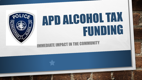# APD ALGOHOL TAX FUNDING

**EDIATE IMPACT IN THE COMMUNITY** 

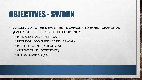### OBJECTIVES - SWORN

- RAPIDLY ADD TO THE DEPARTMENT'S CAPACITY TO EFFECT CHANGE ON QUALITY OF LIFE ISSUES IN THE COMMUNITY.
	- PARK AND TRAIL SAFETY (CAP)
	- NEIGHBORHOOD NUISANCE ISSUES (CAP)
	- PROPERTY CRIME (DETECTIVES)
	- VIOLENT CRIME (DETECTIVES)
	- ILLEGAL CAMPING (CAP)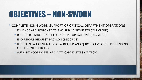### OBJECTIVES – NON-SWORN

- COMPLETE NON-SWORN SUPPORT OF CRITICAL DEPARTMENT OPERATIONS
	- ENHANCE APD RESPONSE TO 8.80 PUBLIC REQUESTS (CAP CLERK)
	- REDUCE RELIANCE ON OT FOR NORMAL OPERATIONS (DISPATCH)
	- END REPORT REQUEST BACKLOG (RECORDS)
	- UTILIZE NEW LAB SPACE FOR INCREASED AND QUICKER EVIDENCE PROCESSING (ID TECH/MESSENGER)
	- SUPPORT MODERNIZED APD DATA CAPABILITIES (IT TECH)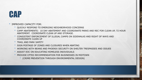#### CAP

#### • IMPROVED CAPACITY FOR:

- QUICKLY RESPOND TO EMERGING NEIGHBORHOOD CONCERNS
- CAMP ABATEMENTS: 10 DAY ABATEMENT AND COORDINATE PARKS AND REC FOR CLEAN UP, 72 HOUR ABATEMENT. COORDINATE CLEAN UP AND STORAGE.
- CONSISTENT ENFORCEMENT OF ILLEGAL CAMPS ON SIDEWALKS AND RIGHT OF WAYS AND COORDINATE CLEAN UP
- TRAIL AND PARK SAFETY
- SIGN POSTAGE OF ZONES AND CLOSURES WHEN ABATING
- WORKING WITH BEANS AND PHOENIX SECURITY ON SHELTER TRESPASSES AND ISSUES
- ASSIST EOC ON EDUCATING HOMELESS INDIVIDUALS
- PROVIDE CPTED RECOMMENDATION FOR BUSINESSES IN MIDTOWN
	- (CRIME PREVENTION THROUGH ENVIRONMENTAL DESIGN)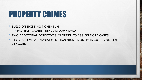# PROPERTY CRIMES

• BUILD ON EXISTING MOMENTUM

 $L_{\rm{1.12}}$ 

 $\frac{1}{2}$ 

- PROPERTY CRIMES TRENDING DOWNWARD
- TWO ADDITIONAL DETECTIVES IN ORDER TO ASSIGN MORE CASES
- EARLY DETECTIVE INVOLVEMENT HAS SIGNIFICANTLY IMPACTED STOLEN **VEHICLES**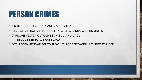### PERSON CRIMES

- INCREASE NUMBER OF CASES ASSIGNED
- REDUCE DETECTIVE BURNOUT IN CRITICAL SEX CRIMES UNITS
- IMPROVE VICTIM OUTCOMES IN SVU AND CACU
	- REDUCE DETECTIVE CASELOAD
- DOJ RECOMMENDATION TO INVOLVE ROBBERY/ASSAULT UNIT EARLIER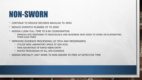# NON-SWORN

- CONTINUE TO REDUCE RECORDS BACKLOG TO ZERO
- REDUCE DISPATCH PLANNED OT TO ZERO
- ASSIGN CLERK FULL TIME TO 8.80 COORDINATION
	- IMPROVE APD RESPONSE TO INDIVIDUALS AND BUSINESS WHO WISH TO WORK ON ELIMINATING THEIR 8.80 FINES
- IMPROVED EVIDENCE PROCESSING (ID TECH AND MESSENGERS)
	- UTILIZE NEW LABORATORY SPACE AT SOA SCDL
	- TAKE ADVANTAGE OF RAPID NIBIN ENTRY
	- **FASTER PROCESSING OF ALL APD EVIDENCE**
- ASSIGN SPECIALTY UNIT WORK TO NON-SWORN TO FREE UP DETECTIVE TIME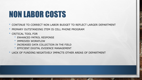# NON LABOR COSTS

- CONTINUE TO CORRECT NON LABOR BUDGET TO REFLECT LARGER DEPARTMENT
- PRIMARY OUTSTANDING ITEM IS CELL PHONE PROGRAM
- CRITICAL TOOL FOR
	- ENHANCED PATROL RESPONSE
	- IMPROVED WORKFLOW
	- INCREASED DATA COLLECTION IN THE FIELD
	- EFFICIENT DIGITAL EVIDENCE MANAGEMENT
- LACK OF FUNDING NEGATIVELY IMPACTS OTHER AREAS OF DEPARTMENT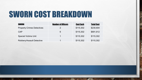# SWORN COST BREAKDOWN

鵴

 $\frac{1}{2}$ 

 $A_{1,2}$ 

| <b>SWORN</b>                      | <b>Number of Officers</b> | <b>Cost Each</b> | <b>Total Cost</b> |
|-----------------------------------|---------------------------|------------------|-------------------|
| <b>Property Crimes Detectives</b> | $\mathcal{P}$             | \$115,302        | \$230,604         |
| <b>CAP</b>                        | 6                         | \$115,302        | \$691,812         |
| <b>Special Victims Unit</b>       |                           | \$115,302        | \$115,302         |
| <b>Robbery/Assault Detective</b>  | 4                         | \$115,302        | \$115,302         |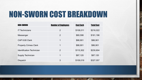# NON-SWORN COST BREAKDOWN

| <b>NON-SWORN</b>                 | <b>Number of Employees</b> | <b>Cost Each</b> | <b>Total Cost</b> |
|----------------------------------|----------------------------|------------------|-------------------|
| <b>IT Technicians</b>            | $\overline{2}$             | \$108,011        | \$216,022         |
| Messenger                        | $\overline{2}$             | \$80,598         | \$161,196         |
| CAP 8.80 Clerk                   | 1                          | \$86,901         | \$86,901          |
| <b>Property Crimes Clerk</b>     | 1                          | \$86,901         | \$86,901          |
| <b>Identification Technician</b> | 2                          | \$115,302        | \$230,604         |
| <b>Supply Technician</b>         | 1                          | \$87,120         | \$87,120          |
| <b>Dispatch</b>                  | 3                          | \$109,019        | \$327,057         |

 $\frac{1}{2}$